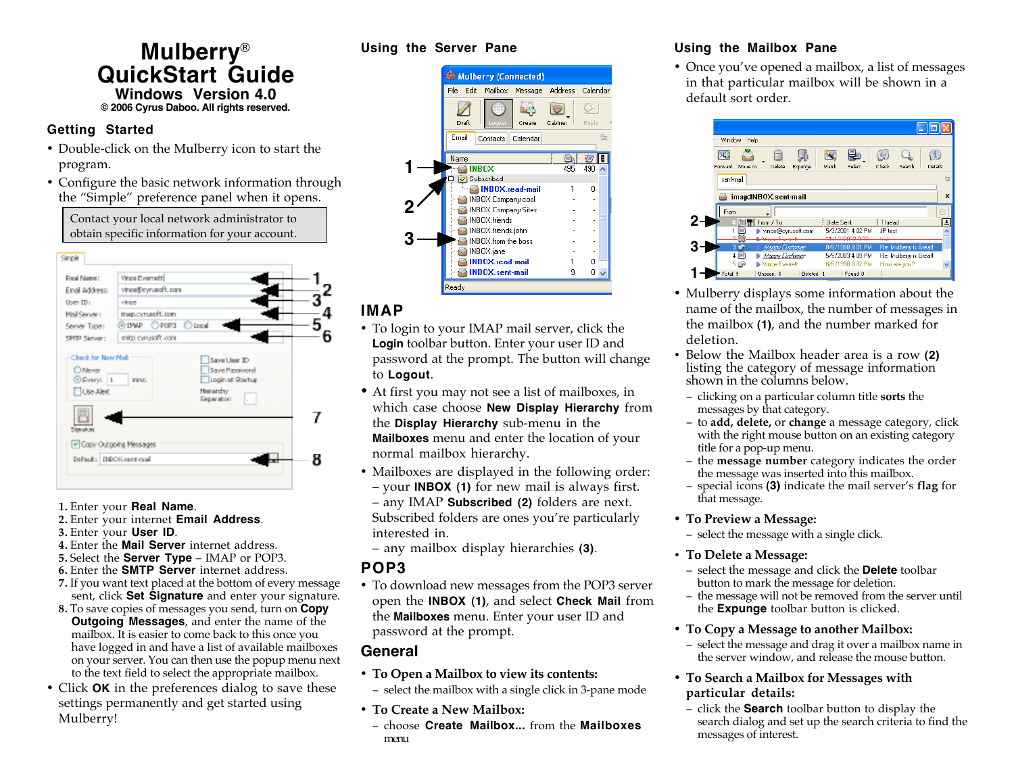## **Mulberry**® **QuickStart Guide Windows Version 4.0 © 2006 Cyrus Daboo. All rights reserved.**

## **Getting Started**

- Double-click on the Mulberry icon to start the program.
- Configure the basic network information through the "Simple" preference panel when it opens.

Contact your local network administrator to obtain specific information for your account.



- **1.** Enter your **Real Name**.
- **2.** Enter your internet **Email Address**.
- **3.** Enter your **User ID**.
- **4.** Enter the **Mail Server** internet address.
- **5.** Select the **Server Type** IMAP or POP3.
- **6.** Enter the **SMTP Server** internet address.
- **7.** If you want text placed at the bottom of every message sent, click **Set Signature** and enter your signature.
- **8.** To save copies of messages you send, turn on **Copy Outgoing Messages**, and enter the name of the mailbox. It is easier to come back to this once you have logged in and have a list of available mailboxes on your server. You can then use the popup menu next to the text field to select the appropriate mailbox.
- Click **OK** in the preferences dialog to save these settings permanently and get started using Mulberry!

### **Using the Server Pane**



# **IMAP**

- To login to your IMAP mail server, click the **Login** toolbar button. Enter your user ID and password at the prompt. The button will change to **Logout**.
- At first you may not see a list of mailboxes, in which case choose **New Display Hierarchy** from the **Display Hierarchy** sub-menu in the **Mailboxes** menu and enter the location of your normal mailbox hierarchy.
- Mailboxes are displayed in the following order: – your **INBOX (1)** for new mail is always first. – any IMAP **Subscribed (2)** folders are next. Subscribed folders are ones you're particularly

interested in.

– any mailbox display hierarchies **(3)**.

# **POP3**

• To download new messages from the POP3 server open the **INBOX (1)**, and select **Check Mail** from the **Mailboxes** menu. Enter your user ID and password at the prompt.

# **General**

- **To Open a Mailbox to view its contents:**
- − select the mailbox with a single click in 3-pane mode
- **To Create a New Mailbox:**
- − choose **Create Mailbox...** from the **Mailboxes** menu

# **Using the Mailbox Pane**

• Once you've opened a mailbox, a list of messages in that particular mailbox will be shown in a default sort order.



- Mulberry displays some information about the name of the mailbox, the number of messages in the mailbox **(1)**, and the number marked for deletion.
- Below the Mailbox header area is a row **(2)** listing the category of message information shown in the columns below.
- − clicking on a particular column title **sorts** the messages by that category.
- − to **add, delete,** or **change** a message category, click with the right mouse button on an existing category title for a pop-up menu.
- − the **message number** category indicates the order the message was inserted into this mailbox.
- − special icons **(3)** indicate the mail server's **flag** for that message.

## • **To Preview a Message:**

− select the message with a single click.

## • **To Delete a Message:**

- − select the message and click the **Delete** toolbar button to mark the message for deletion.
- − the message will not be removed from the server until the **Expunge** toolbar button is clicked.
- **To Copy a Message to another Mailbox:**
	- − select the message and drag it over a mailbox name in the server window, and release the mouse button.
- **To Search a Mailbox for Messages with particular details:**
	- − click the **Search** toolbar button to display the search dialog and set up the search criteria to find the messages of interest.